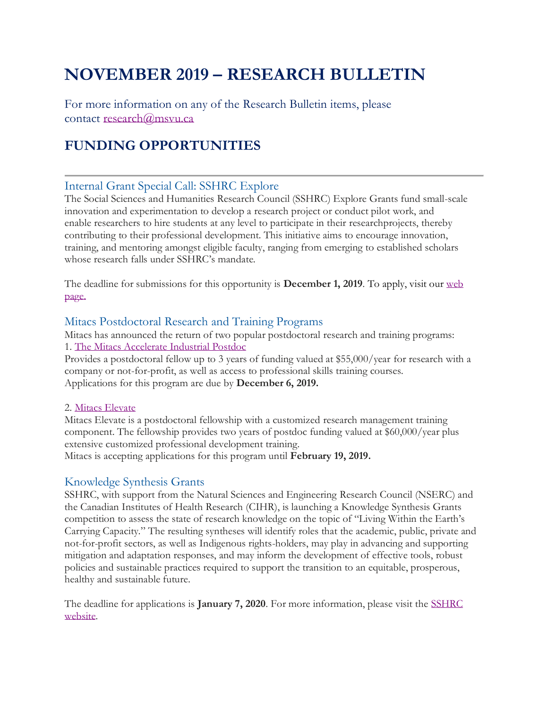# **NOVEMBER 2019 – RESEARCH BULLETIN**

For more information on any of the Research Bulletin items, please contact [research@msvu.ca](mailto:research@msvu.ca)

### **FUNDING OPPORTUNITIES**

### Internal Grant Special Call: SSHRC Explore

The Social Sciences and Humanities Research Council (SSHRC) Explore Grants fund small-scale innovation and experimentation to develop a research project or conduct pilot work, and enable researchers to hire students at any level to participate in their researchprojects, thereby contributing to their professional development. This initiative aims to encourage innovation, training, and mentoring amongst eligible faculty, ranging from emerging to established scholars whose research falls under SSHRC's mandate.

The deadline for submissions for this opportunity is **December 1, 2019**. To apply, visit our [web](https://www.msvu.ca/en/home/research/externalgrants/internalgrants.aspx)  [page.](https://www.msvu.ca/en/home/research/externalgrants/internalgrants.aspx)

#### Mitacs Postdoctoral Research and Training Programs

Mitacs has announced the return of two popular postdoctoral research and training programs: 1. [The Mitacs Accelerate Industrial Postdoc](https://www.mitacs.ca/en/programs/accelerate/industrial-postdoc?utm_source=Mitacs+Calls+for+Proposals&utm_campaign=3cf04111fc-Mitacs-Elevate-Call-ENG-Oct162019&utm_medium=email&utm_term=0_4fbc5a07d9-3cf04111fc-121327269)

Provides a postdoctoral fellow up to 3 years of funding valued at \$55,000/year for research with a company or not-for-profit, as well as access to professional skills training courses. Applications for this program are due by **December 6, 2019.**

#### 2. [Mitacs Elevate](https://www.mitacs.ca/en/programs/elevate/program-details)

Mitacs Elevate is a postdoctoral fellowship with a customized research management training component. The fellowship provides two years of postdoc funding valued at \$60,000/year plus extensive customized professional development training.

Mitacs is accepting applications for this program until **February 19, 2019.**

### Knowledge Synthesis Grants

SSHRC, with support from the Natural Sciences and Engineering Research Council (NSERC) and the Canadian Institutes of Health Research (CIHR), is launching a Knowledge Synthesis Grants competition to assess the state of research knowledge on the topic of "Living Within the Earth's Carrying Capacity." The resulting syntheses will identify roles that the academic, public, private and not-for-profit sectors, as well as Indigenous rights-holders, may play in advancing and supporting mitigation and adaptation responses, and may inform the development of effective tools, robust policies and sustainable practices required to support the transition to an equitable, prosperous, healthy and sustainable future.

The deadline for applications is **January 7, 2020**. For more information, please visit the [SSHRC](https://www.sshrc-crsh.gc.ca/funding-financement/programs-programmes/ksg_living_within_earth_carrying_capacity-ssc_vie_fonction_capacite_limite_terre-eng.aspx)  [website.](https://www.sshrc-crsh.gc.ca/funding-financement/programs-programmes/ksg_living_within_earth_carrying_capacity-ssc_vie_fonction_capacite_limite_terre-eng.aspx)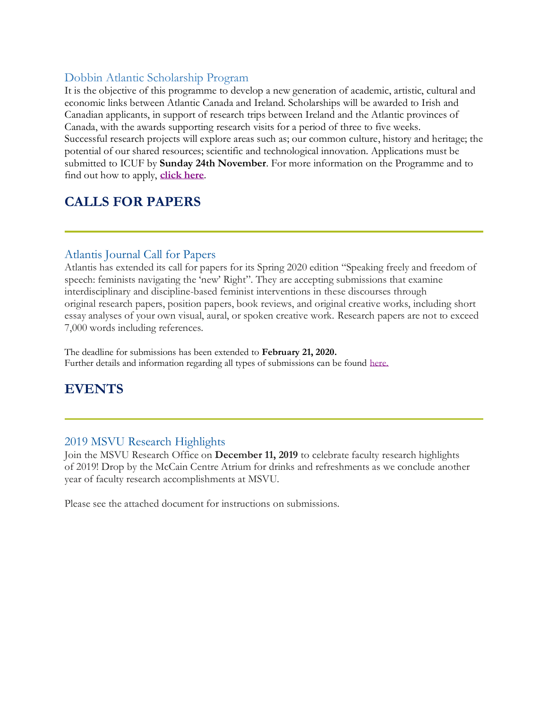### Dobbin Atlantic Scholarship Program

It is the objective of this programme to develop a new generation of academic, artistic, cultural and economic links between Atlantic Canada and Ireland. Scholarships will be awarded to Irish and Canadian applicants, in support of research trips between Ireland and the Atlantic provinces of Canada, with the awards supporting research visits for a period of three to five weeks. Successful research projects will explore areas such as; our common culture, history and heritage; the potential of our shared resources; scientific and technological innovation. Applications must be submitted to ICUF by **Sunday 24th November**. For more information on the Programme and to find out how to apply, **[click here](https://icuf.us6.list-manage.com/track/click?u=3e7d4214f445a2bc1f44c3979&id=c26667e650&e=2565fd3df5)**.

### **CALLS FOR PAPERS**

#### Atlantis Journal Call for Papers

Atlantis has extended its call for papers for its Spring 2020 edition "Speaking freely and freedom of speech: feminists navigating the 'new' Right". They are accepting submissions that examine interdisciplinary and discipline-based feminist interventions in these discourses through original research papers, position papers, book reviews, and original creative works, including short essay analyses of your own visual, aural, or spoken creative work. Research papers are not to exceed 7,000 words including references.

The deadline for submissions has been extended to **February 21, 2020.** Further details and information regarding all types of submissions can be found [here.](http://journals.msvu.ca/index.php/atlantis/about/submissions)

### **EVENTS**

#### 2019 MSVU Research Highlights

Join the MSVU Research Office on **December 11, 2019** to celebrate faculty research highlights of 2019! Drop by the McCain Centre Atrium for drinks and refreshments as we conclude another year of faculty research accomplishments at MSVU.

Please see the attached document for instructions on submissions.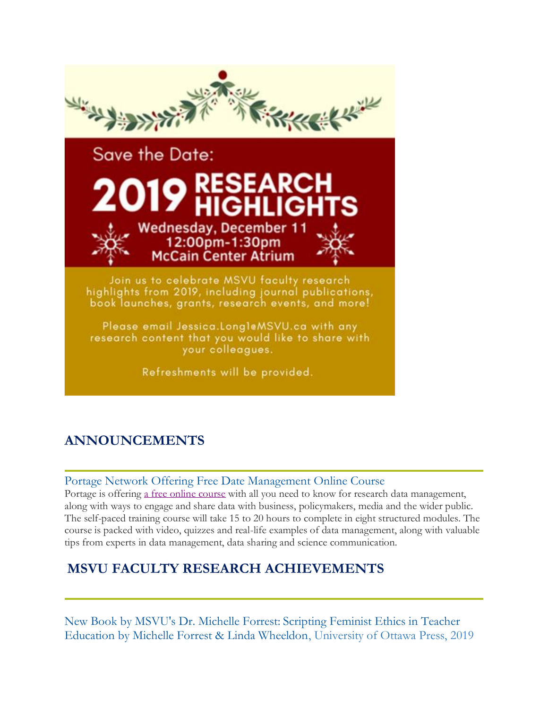

Refreshments will be provided.

# **ANNOUNCEMENTS**

### Portage Network Offering Free Date Management Online Course

Portage is offering a [free online course](https://portagenetwork.ca/resource-library/data-tree/) with all you need to know for research data management, along with ways to engage and share data with business, policymakers, media and the wider public. The self-paced training course will take 15 to 20 hours to complete in eight structured modules. The course is packed with video, quizzes and real-life examples of data management, along with valuable tips from experts in data management, data sharing and science communication.

### **MSVU FACULTY RESEARCH ACHIEVEMENTS**

New Book by MSVU's Dr. Michelle Forrest: Scripting Feminist Ethics in Teacher Education by Michelle Forrest & Linda Wheeldon, University of Ottawa Press, 2019